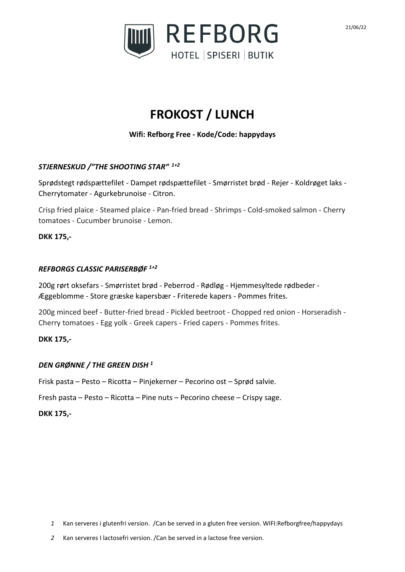



## **FROKOST / LUNCH**

## **Wifi: Refborg Free - Kode/Code: happydays**

## *STJERNESKUD /"THE SHOOTING STAR" 1+2*

Sprødstegt rødspættefilet - Dampet rødspættefilet - Smørristet brød - Rejer - Koldrøget laks - Cherrytomater - Agurkebrunoise - Citron.

Crisp fried plaice - Steamed plaice - Pan-fried bread - Shrimps - Cold-smoked salmon - Cherry tomatoes - Cucumber brunoise - Lemon.

## **DKK 175,-**

## *REFBORGS CLASSIC PARISERBØF 1+2*

200g rørt oksefars - Smørristet brød - Peberrod - Rødløg - Hjemmesyltede rødbeder - Æggeblomme - Store græske kapersbær - Friterede kapers - Pommes frites.

200g minced beef - Butter-fried bread - Pickled beetroot - Chopped red onion - Horseradish - Cherry tomatoes - Egg yolk - Greek capers - Fried capers - Pommes frites.

## **DKK 175,-**

## *DEN GRØNNE / THE GREEN DISH 1*

Frisk pasta – Pesto – Ricotta – Pinjekerner – Pecorino ost – Sprød salvie.

Fresh pasta – Pesto – Ricotta – Pine nuts – Pecorino cheese – Crispy sage.

#### **DKK 175,-**

- *1* Kan serveres i glutenfri version. /Can be served in a gluten free version. WIFI:Refborgfree/happydays
- *2* Kan serveres I lactosefri version. /Can be served in a lactose free version.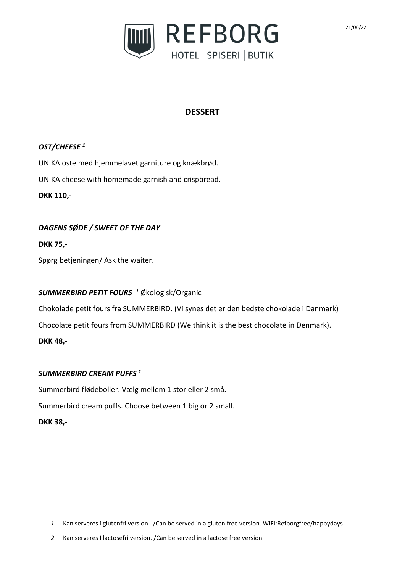

## **DESSERT**

## *OST/CHEESE <sup>1</sup>*

UNIKA oste med hjemmelavet garniture og knækbrød.

UNIKA cheese with homemade garnish and crispbread.

**DKK 110,-**

*DAGENS SØDE / SWEET OF THE DAY*

**DKK 75,-**

Spørg betjeningen/ Ask the waiter.

## *SUMMERBIRD PETIT FOURS <sup>1</sup>* Økologisk/Organic

Chokolade petit fours fra SUMMERBIRD. (Vi synes det er den bedste chokolade i Danmark) Chocolate petit fours from SUMMERBIRD (We think it is the best chocolate in Denmark). **DKK 48,-**

## *SUMMERBIRD CREAM PUFFS <sup>1</sup>*

Summerbird flødeboller. Vælg mellem 1 stor eller 2 små.

Summerbird cream puffs. Choose between 1 big or 2 small.

#### **DKK 38,-**

- *1* Kan serveres i glutenfri version. /Can be served in a gluten free version. WIFI:Refborgfree/happydays
- *2* Kan serveres I lactosefri version. /Can be served in a lactose free version.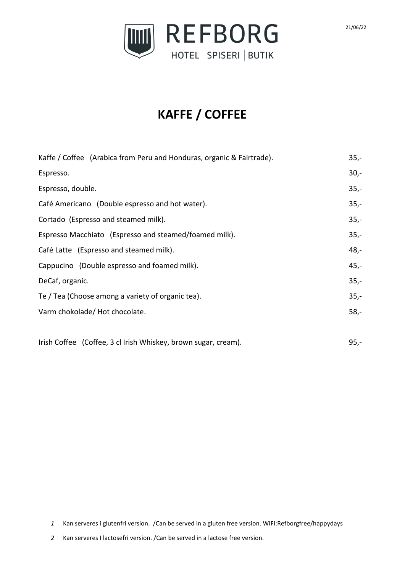

# **KAFFE / COFFEE**

| Kaffe / Coffee (Arabica from Peru and Honduras, organic & Fairtrade). | $35,-$ |
|-----------------------------------------------------------------------|--------|
| Espresso.                                                             | $30 -$ |
| Espresso, double.                                                     | $35,-$ |
| Café Americano (Double espresso and hot water).                       | $35,-$ |
| Cortado (Espresso and steamed milk).                                  | $35,-$ |
| Espresso Macchiato (Espresso and steamed/foamed milk).                | $35,-$ |
| Café Latte (Espresso and steamed milk).                               | $48,-$ |
| Cappucino (Double espresso and foamed milk).                          | $45,-$ |
| DeCaf, organic.                                                       | $35,-$ |
| Te / Tea (Choose among a variety of organic tea).                     | $35,-$ |
| Varm chokolade/ Hot chocolate.                                        | $58,-$ |
|                                                                       |        |

Irish Coffee (Coffee, 3 cl Irish Whiskey, brown sugar, cream). 95,-

*1* Kan serveres i glutenfri version. /Can be served in a gluten free version. WIFI:Refborgfree/happydays

*<sup>2</sup>* Kan serveres I lactosefri version. /Can be served in a lactose free version.